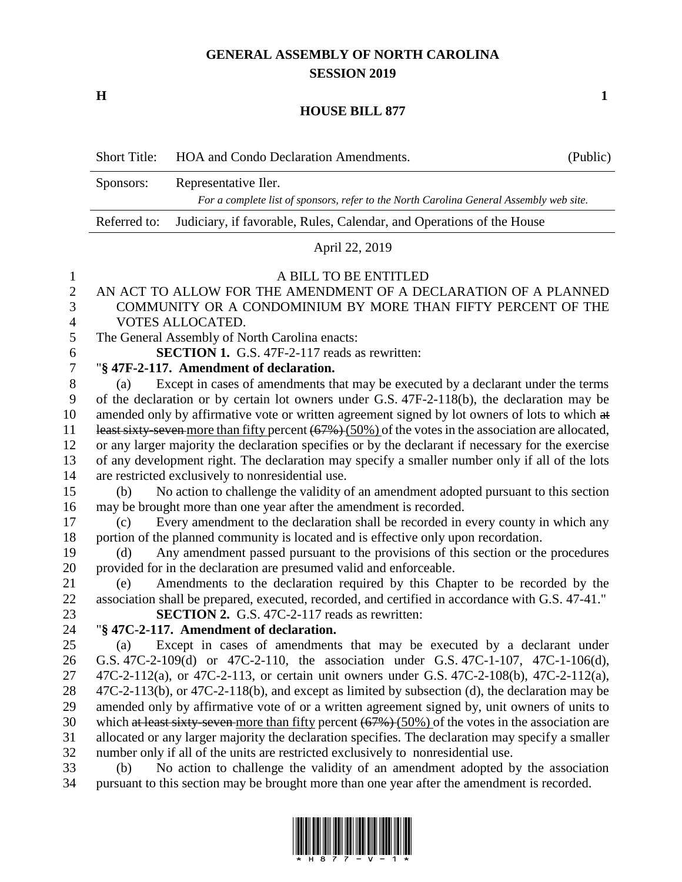## **GENERAL ASSEMBLY OF NORTH CAROLINA SESSION 2019**

**H 1**

## **HOUSE BILL 877**

|                | <b>Short Title:</b>                                                                                    | HOA and Condo Declaration Amendments.                                                   | (Public) |  |
|----------------|--------------------------------------------------------------------------------------------------------|-----------------------------------------------------------------------------------------|----------|--|
|                | Representative Iler.<br>Sponsors:                                                                      |                                                                                         |          |  |
|                |                                                                                                        | For a complete list of sponsors, refer to the North Carolina General Assembly web site. |          |  |
|                | Referred to:<br>Judiciary, if favorable, Rules, Calendar, and Operations of the House                  |                                                                                         |          |  |
|                | April 22, 2019                                                                                         |                                                                                         |          |  |
| $\mathbf{1}$   | A BILL TO BE ENTITLED                                                                                  |                                                                                         |          |  |
| $\overline{2}$ | AN ACT TO ALLOW FOR THE AMENDMENT OF A DECLARATION OF A PLANNED                                        |                                                                                         |          |  |
| 3              | COMMUNITY OR A CONDOMINIUM BY MORE THAN FIFTY PERCENT OF THE                                           |                                                                                         |          |  |
| 4              | VOTES ALLOCATED.                                                                                       |                                                                                         |          |  |
| 5              | The General Assembly of North Carolina enacts:                                                         |                                                                                         |          |  |
| 6              | <b>SECTION 1.</b> G.S. 47F-2-117 reads as rewritten:                                                   |                                                                                         |          |  |
| 7              | "§ 47F-2-117. Amendment of declaration.                                                                |                                                                                         |          |  |
| 8              | (a)                                                                                                    | Except in cases of amendments that may be executed by a declarant under the terms       |          |  |
| 9              | of the declaration or by certain lot owners under G.S. 47F-2-118(b), the declaration may be            |                                                                                         |          |  |
| 10             | amended only by affirmative vote or written agreement signed by lot owners of lots to which at         |                                                                                         |          |  |
| 11             | least sixty-seven more than fifty percent $(67%)$ (50%) of the votes in the association are allocated, |                                                                                         |          |  |
| 12             | or any larger majority the declaration specifies or by the declarant if necessary for the exercise     |                                                                                         |          |  |
| 13             | of any development right. The declaration may specify a smaller number only if all of the lots         |                                                                                         |          |  |
| 14             | are restricted exclusively to nonresidential use.                                                      |                                                                                         |          |  |
| 15             | (b)                                                                                                    | No action to challenge the validity of an amendment adopted pursuant to this section    |          |  |
| 16             | may be brought more than one year after the amendment is recorded.                                     |                                                                                         |          |  |
| 17             | (c)                                                                                                    | Every amendment to the declaration shall be recorded in every county in which any       |          |  |
| 18             |                                                                                                        | portion of the planned community is located and is effective only upon recordation.     |          |  |
| 19             | (d)                                                                                                    | Any amendment passed pursuant to the provisions of this section or the procedures       |          |  |
| 20             | provided for in the declaration are presumed valid and enforceable.                                    |                                                                                         |          |  |
| 21             | (e)                                                                                                    | Amendments to the declaration required by this Chapter to be recorded by the            |          |  |
| 22             | association shall be prepared, executed, recorded, and certified in accordance with G.S. 47-41."       |                                                                                         |          |  |
| 23             | <b>SECTION 2.</b> G.S. 47C-2-117 reads as rewritten:                                                   |                                                                                         |          |  |
| 24             |                                                                                                        | "§ 47C-2-117. Amendment of declaration.                                                 |          |  |
| 25             | (a)                                                                                                    | Except in cases of amendments that may be executed by a declarant under                 |          |  |

26 G.S. 47C-2-109(d) or 47C-2-110, the association under G.S. 47C-1-107, 47C-1-106(d), <br>27 47C-2-112(a), or 47C-2-113, or certain unit owners under G.S. 47C-2-108(b), 47C-2-112(a). 47C-2-112(a), or 47C-2-113, or certain unit owners under G.S. 47C-2-108(b), 47C-2-112(a), 47C-2-113(b), or 47C-2-118(b), and except as limited by subsection (d), the declaration may be amended only by affirmative vote of or a written agreement signed by, unit owners of units to 30 which at least sixty-seven more than fifty percent (67%) (50%) of the votes in the association are allocated or any larger majority the declaration specifies. The declaration may specify a smaller number only if all of the units are restricted exclusively to nonresidential use.

 (b) No action to challenge the validity of an amendment adopted by the association pursuant to this section may be brought more than one year after the amendment is recorded.